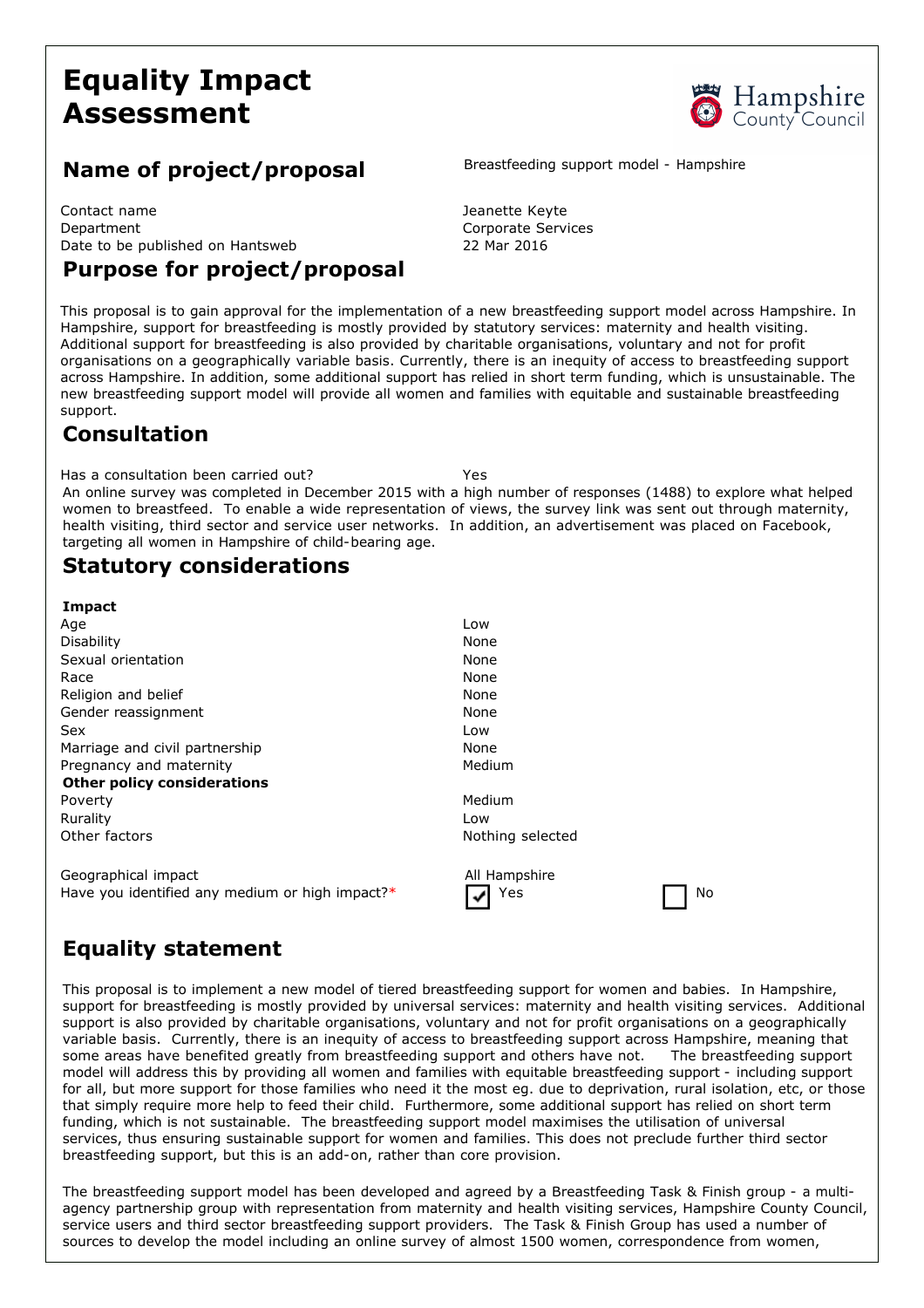# **Equality Impact Assessment**



## **Name of project/proposal** Breastfeeding support model - Hampshire

Contact name **Vertex** 2012 12:00 and 2012 12:00 Jeanette Keyte Department Corporate Services Date to be published on Hantsweb 22 Mar 2016

## **Purpose for project/proposal**

This proposal is to gain approval for the implementation of a new breastfeeding support model across Hampshire. In Hampshire, support for breastfeeding is mostly provided by statutory services: maternity and health visiting. Additional support for breastfeeding is also provided by charitable organisations, voluntary and not for profit organisations on a geographically variable basis. Currently, there is an inequity of access to breastfeeding support across Hampshire. In addition, some additional support has relied in short term funding, which is unsustainable. The new breastfeeding support model will provide all women and families with equitable and sustainable breastfeeding support.

#### **Consultation**

Has a consultation been carried out? Yes An online survey was completed in December 2015 with a high number of responses (1488) to explore what helped women to breastfeed. To enable a wide representation of views, the survey link was sent out through maternity, health visiting, third sector and service user networks. In addition, an advertisement was placed on Facebook, targeting all women in Hampshire of child-bearing age.

### **Statutory considerations**

| Impact                                          |                  |
|-------------------------------------------------|------------------|
| Age                                             | Low              |
| Disability                                      | None             |
| Sexual orientation                              | None             |
| Race                                            | None             |
| Religion and belief                             | None             |
| Gender reassignment                             | None             |
| <b>Sex</b>                                      | Low              |
| Marriage and civil partnership                  | None             |
| Pregnancy and maternity                         | Medium           |
| <b>Other policy considerations</b>              |                  |
| Poverty                                         | Medium           |
| Rurality                                        | Low              |
| Other factors                                   | Nothing selected |
|                                                 |                  |
| Geographical impact                             | All Hampshire    |
| Have you identified any medium or high impact?* | Yes<br>No<br>✔   |

# **Equality statement**

This proposal is to implement a new model of tiered breastfeeding support for women and babies. In Hampshire, support for breastfeeding is mostly provided by universal services: maternity and health visiting services. Additional support is also provided by charitable organisations, voluntary and not for profit organisations on a geographically variable basis. Currently, there is an inequity of access to breastfeeding support across Hampshire, meaning that some areas have benefited greatly from breastfeeding support and others have not. The breastfeeding support model will address this by providing all women and families with equitable breastfeeding support including support for all, but more support for those families who need it the most eg. due to deprivation, rural isolation, etc, or those that simply require more help to feed their child. Furthermore, some additional support has relied on short term funding, which is not sustainable. The breastfeeding support model maximises the utilisation of universal services, thus ensuring sustainable support for women and families. This does not preclude further third sector breastfeeding support, but this is an add-on, rather than core provision.

The breastfeeding support model has been developed and agreed by a Breastfeeding Task & Finish group - a multiagency partnership group with representation from maternity and health visiting services, Hampshire County Council, service users and third sector breastfeeding support providers. The Task & Finish Group has used a number of sources to develop the model including an online survey of almost 1500 women, correspondence from women,